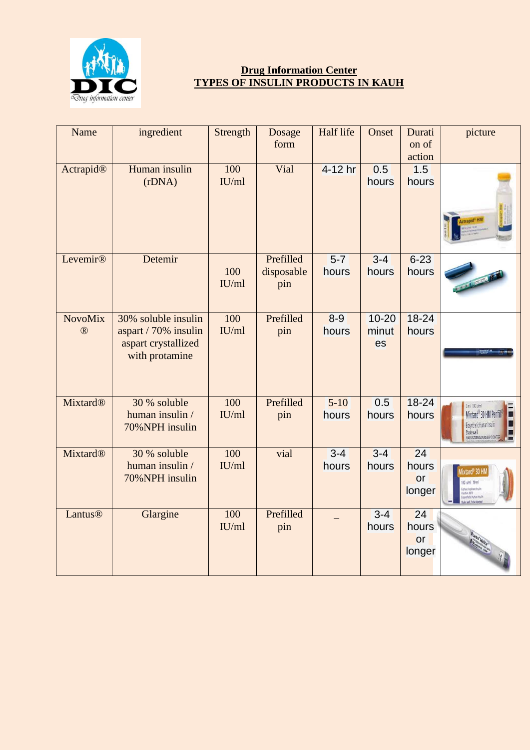

## **Drug Information Center TYPES OF INSULIN PRODUCTS IN KAUH**

| Name                          | ingredient                                                                           | Strength     | Dosage<br>form                 | Half life         | Onset                    | Durati<br>on of<br>action   | picture                                                                                                                                    |
|-------------------------------|--------------------------------------------------------------------------------------|--------------|--------------------------------|-------------------|--------------------------|-----------------------------|--------------------------------------------------------------------------------------------------------------------------------------------|
| Actrapid®                     | Human insulin<br>(rDNA)                                                              | 100<br>IU/ml | Vial                           | 4-12 hr           | 0.5<br>hours             | 1.5<br>hours                |                                                                                                                                            |
| Levemir®                      | Detemir                                                                              | 100<br>IU/ml | Prefilled<br>disposable<br>pin | $5 - 7$<br>hours  | $3 - 4$<br>hours         | $6 - 23$<br>hours           |                                                                                                                                            |
| <b>NovoMix</b><br>$\circledR$ | 30% soluble insulin<br>aspart / 70% insulin<br>aspart crystallized<br>with protamine | 100<br>IU/ml | Prefilled<br>pin               | $8 - 9$<br>hours  | $10 - 20$<br>minut<br>es | $18 - 24$<br>hours          |                                                                                                                                            |
| <b>Mixtard®</b>               | 30 % soluble<br>human insulin /<br>70% NPH insulin                                   | 100<br>IU/ml | Prefilled<br>pin               | $5 - 10$<br>hours | 0.5<br>hours             | $18 - 24$<br>hours          | 3ml 100 juint<br>F<br>Mixtard <sup>®</sup> 30 HM Penfil<br>□<br>Biosynthetic Human Insulin<br>Shake well<br>Harus Dengan Resep Dokter<br>Ε |
| <b>Mixtard®</b>               | 30 % soluble<br>human insulin /<br>70%NPH insulin                                    | 100<br>IU/ml | vial                           | $3 - 4$<br>hours  | $3 - 4$<br>hours         | 24<br>hours<br>or<br>longer | ixtard <sup>®</sup> 30 HM<br>100 iu/ml 10 ml<br>Biphasic bophane Insulin<br>Injection 3070<br>Biosynthetic Human Insuli                    |
| Lantus®                       | Glargine                                                                             | 100<br>IU/ml | Prefilled<br>pin               |                   | $3 - 4$<br>hours         | 24<br>hours<br>or<br>longer |                                                                                                                                            |